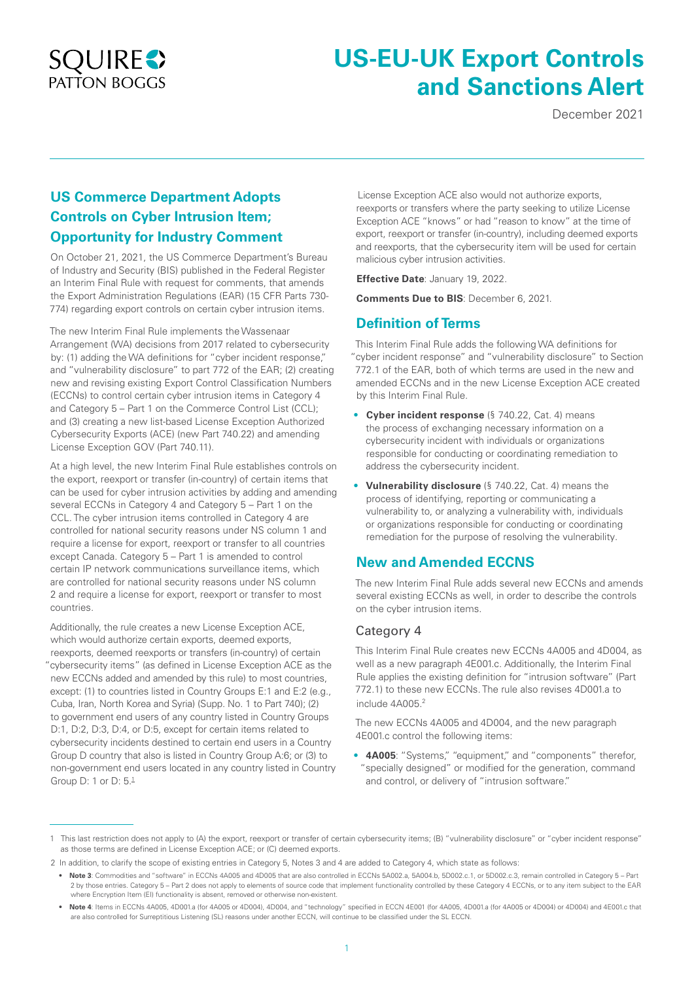## **SQUIRE** PATTON BOGGS

# **US-EU-UK Export Controls and Sanctions Alert**

December 2021

## **US Commerce Department Adopts Controls on Cyber Intrusion Item; Opportunity for Industry Comment**

On October 21, 2021, the US Commerce Department's Bureau of Industry and Security (BIS) published in the Federal Register an Interim Final Rule with request for comments, that amends the Export Administration Regulations (EAR) (15 CFR Parts 730- 774) regarding export controls on certain cyber intrusion items.

The new Interim Final Rule implements the Wassenaar Arrangement (WA) decisions from 2017 related to cybersecurity by: (1) adding the WA definitions for "cyber incident response," and "vulnerability disclosure" to part 772 of the EAR; (2) creating new and revising existing Export Control Classification Numbers (ECCNs) to control certain cyber intrusion items in Category 4 and Category 5 – Part 1 on the Commerce Control List (CCL); and (3) creating a new list-based License Exception Authorized Cybersecurity Exports (ACE) (new Part 740.22) and amending License Exception GOV (Part 740.11).

At a high level, the new Interim Final Rule establishes controls on the export, reexport or transfer (in-country) of certain items that can be used for cyber intrusion activities by adding and amending several ECCNs in Category 4 and Category 5 – Part 1 on the CCL. The cyber intrusion items controlled in Category 4 are controlled for national security reasons under NS column 1 and require a license for export, reexport or transfer to all countries except Canada. Category 5 – Part 1 is amended to control certain IP network communications surveillance items, which are controlled for national security reasons under NS column 2 and require a license for export, reexport or transfer to most countries.

Additionally, the rule creates a new License Exception ACE, which would authorize certain exports, deemed exports, reexports, deemed reexports or transfers (in-country) of certain "cybersecurity items" (as defined in License Exception ACE as the new ECCNs added and amended by this rule) to most countries, except: (1) to countries listed in Country Groups E:1 and E:2 (e.g., Cuba, Iran, North Korea and Syria) (Supp. No. 1 to Part 740); (2) to government end users of any country listed in Country Groups D:1, D:2, D:3, D:4, or D:5, except for certain items related to cybersecurity incidents destined to certain end users in a Country Group D country that also is listed in Country Group A:6; or (3) to non-government end users located in any country listed in Country Group D: 1 or D: 5.1

 License Exception ACE also would not authorize exports, reexports or transfers where the party seeking to utilize License Exception ACE "knows" or had "reason to know" at the time of export, reexport or transfer (in-country), including deemed exports and reexports, that the cybersecurity item will be used for certain malicious cyber intrusion activities.

**Effective Date**: January 19, 2022.

**Comments Due to BIS**: December 6, 2021.

#### **Definition of Terms**

This Interim Final Rule adds the following WA definitions for "cyber incident response" and "vulnerability disclosure" to Section 772.1 of the EAR, both of which terms are used in the new and amended ECCNs and in the new License Exception ACE created by this Interim Final Rule.

- **Cyber incident response** (§ 740.22, Cat. 4) means the process of exchanging necessary information on a cybersecurity incident with individuals or organizations responsible for conducting or coordinating remediation to address the cybersecurity incident.
- **Vulnerability disclosure** (§ 740.22, Cat. 4) means the process of identifying, reporting or communicating a vulnerability to, or analyzing a vulnerability with, individuals or organizations responsible for conducting or coordinating remediation for the purpose of resolving the vulnerability.

## **New and Amended ECCNS**

The new Interim Final Rule adds several new ECCNs and amends several existing ECCNs as well, in order to describe the controls on the cyber intrusion items.

#### Category 4

This Interim Final Rule creates new ECCNs 4A005 and 4D004, as well as a new paragraph 4E001.c. Additionally, the Interim Final Rule applies the existing definition for "intrusion software" (Part 772.1) to these new ECCNs. The rule also revises 4D001.a to include 4A005.2

The new ECCNs 4A005 and 4D004, and the new paragraph 4E001.c control the following items:

• **4A005**: "Systems," "equipment," and "components" therefor, "specially designed" or modified for the generation, command and control, or delivery of "intrusion software."

<sup>1</sup> This last restriction does not apply to (A) the export, reexport or transfer of certain cybersecurity items; (B) "vulnerability disclosure" or "cyber incident response" as those terms are defined in License Exception ACE; or (C) deemed exports.

<sup>2</sup> In addition, to clarify the scope of existing entries in Category 5, Notes 3 and 4 are added to Category 4, which state as follows:

<sup>•</sup> **Note 3**: Commodities and "software" in ECCNs 4A005 and 4D005 that are also controlled in ECCNs 5A002.a, 5A004.b, 5D002.c.1, or 5D002.c.3, remain controlled in Category 5 – Part 2 by those entries. Category 5 – Part 2 does not apply to elements of source code that implement functionality controlled by these Category 4 ECCNs, or to any item subject to the EAR where Encryption Item (EI) functionality is absent, removed or otherwise non-existent.

<sup>•</sup> **Note 4**: Items in ECCNs 4A005, 4D001.a (for 4A005 or 4D004), 4D004, and "technology" specified in ECCN 4E001 (for 4A005, 4D001.a (for 4A005 or 4D004) or 4D004) and 4E001.c that are also controlled for Surreptitious Listening (SL) reasons under another ECCN, will continue to be classified under the SL ECCN.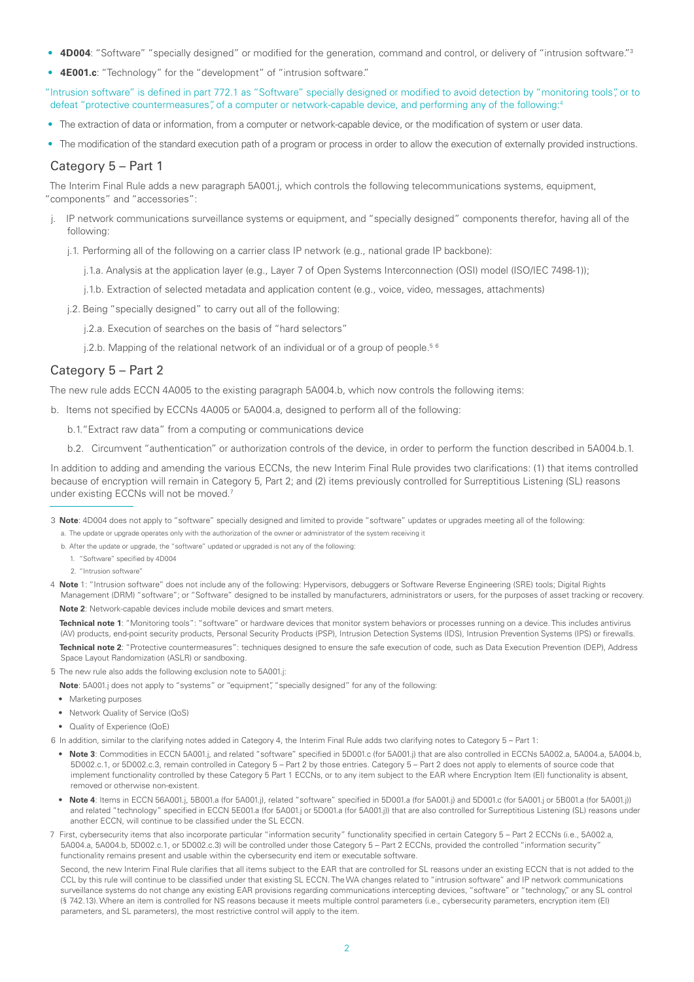- **4D004**: "Software" "specially designed" or modified for the generation, command and control, or delivery of "intrusion software."3
- **4E001.c**: "Technology" for the "development" of "intrusion software."

"Intrusion software" is defined in part 772.1 as "Software" specially designed or modified to avoid detection by "monitoring tools", or to defeat "protective countermeasures", of a computer or network-capable device, and performing any of the following:4

- The extraction of data or information, from a computer or network-capable device, or the modification of system or user data.
- The modification of the standard execution path of a program or process in order to allow the execution of externally provided instructions.

#### Category 5 – Part 1

The Interim Final Rule adds a new paragraph 5A001.j, which controls the following telecommunications systems, equipment, "components" and "accessories":

- j. IP network communications surveillance systems or equipment, and "specially designed" components therefor, having all of the following:
	- j.1. Performing all of the following on a carrier class IP network (e.g., national grade IP backbone):
		- j.1.a. Analysis at the application layer (e.g., Layer 7 of Open Systems Interconnection (OSI) model (ISO/IEC 7498-1));
		- j.1.b. Extraction of selected metadata and application content (e.g., voice, video, messages, attachments)
	- j.2. Being "specially designed" to carry out all of the following:
		- j.2.a. Execution of searches on the basis of "hard selectors"
		- j.2.b. Mapping of the relational network of an individual or of a group of people.<sup>56</sup>

#### Category 5 – Part 2

The new rule adds ECCN 4A005 to the existing paragraph 5A004.b, which now controls the following items:

b. Items not specified by ECCNs 4A005 or 5A004.a, designed to perform all of the following:

- b.1."Extract raw data" from a computing or communications device
- b.2. Circumvent "authentication" or authorization controls of the device, in order to perform the function described in 5A004.b.1.

In addition to adding and amending the various ECCNs, the new Interim Final Rule provides two clarifications: (1) that items controlled because of encryption will remain in Category 5, Part 2; and (2) items previously controlled for Surreptitious Listening (SL) reasons under existing ECCNs will not be moved.<sup>7</sup>

- 3 **Note**: 4D004 does not apply to "software" specially designed and limited to provide "software" updates or upgrades meeting all of the following: a. The update or upgrade operates only with the authorization of the owner or administrator of the system receiving it
	- b. After the update or upgrade, the "software" updated or upgraded is not any of the following:
	-
	- 1. "Software" specified by 4D004
	- 2. "Intrusion software"
- 4 **Note** 1: "Intrusion software" does not include any of the following: Hypervisors, debuggers or Software Reverse Engineering (SRE) tools; Digital Rights Management (DRM) "software"; or "Software" designed to be installed by manufacturers, administrators or users, for the purposes of asset tracking or recovery. **Note 2**: Network-capable devices include mobile devices and smart meters.

**Technical note 1**: "Monitoring tools": "software" or hardware devices that monitor system behaviors or processes running on a device. This includes antivirus (AV) products, end-point security products, Personal Security Products (PSP), Intrusion Detection Systems (IDS), Intrusion Prevention Systems (IPS) or firewalls.

- **Technical note 2**: "Protective countermeasures": techniques designed to ensure the safe execution of code, such as Data Execution Prevention (DEP), Address Space Layout Randomization (ASLR) or sandboxing.
- 5 The new rule also adds the following exclusion note to 5A001.j:
- **Note**: 5A001.j does not apply to "systems" or "equipment", "specially designed" for any of the following:
- Marketing purposes
- Network Quality of Service (QoS)
- Quality of Experience (QoE)
- 6 In addition, similar to the clarifying notes added in Category 4, the Interim Final Rule adds two clarifying notes to Category 5 Part 1:
	- **Note 3**: Commodities in ECCN 5A001.j, and related "software" specified in 5D001.c (for 5A001.j) that are also controlled in ECCNs 5A002.a, 5A004.a, 5A004.b, 5D002.c.1, or 5D002.c.3, remain controlled in Category 5 – Part 2 by those entries. Category 5 – Part 2 does not apply to elements of source code that implement functionality controlled by these Category 5 Part 1 ECCNs, or to any item subject to the EAR where Encryption Item (EI) functionality is absent, removed or otherwise non-existent.
	- Note 4: Items in ECCN 56A001.j, 5B001.a (for 5A001.j), related "software" specified in 5D001.a (for 5A001.j) and 5D001.c (for 5A001.j or 5B001.a (for 5A001.j)) and related "technology" specified in ECCN 5E001.a (for 5A001.j or 5D001.a (for 5A001.j)) that are also controlled for Surreptitious Listening (SL) reasons under another ECCN, will continue to be classified under the SL ECCN.
- 7 First, cybersecurity items that also incorporate particular "information security" functionality specified in certain Category 5 Part 2 ECCNs (i.e., 5A002.a, 5A004.a, 5A004.b, 5D002.c.1, or 5D002.c.3) will be controlled under those Category 5 – Part 2 ECCNs, provided the controlled "information security" functionality remains present and usable within the cybersecurity end item or executable software.

Second, the new Interim Final Rule clarifies that all items subject to the EAR that are controlled for SL reasons under an existing ECCN that is not added to the CCL by this rule will continue to be classified under that existing SL ECCN. The WA changes related to "intrusion software" and IP network communications surveillance systems do not change any existing EAR provisions regarding communications intercepting devices, "software" or "technology," or any SL control (§ 742.13). Where an item is controlled for NS reasons because it meets multiple control parameters (i.e., cybersecurity parameters, encryption item (EI) parameters, and SL parameters), the most restrictive control will apply to the item.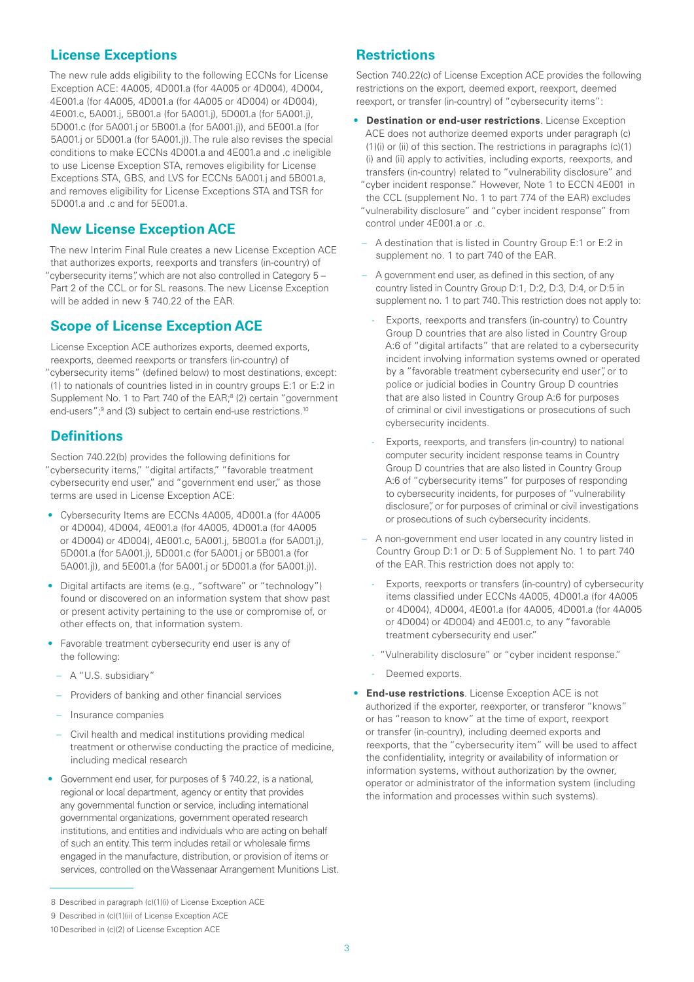#### **License Exceptions**

The new rule adds eligibility to the following ECCNs for License Exception ACE: 4A005, 4D001.a (for 4A005 or 4D004), 4D004, 4E001.a (for 4A005, 4D001.a (for 4A005 or 4D004) or 4D004), 4E001.c, 5A001.j, 5B001.a (for 5A001.j), 5D001.a (for 5A001.j), 5D001.c (for 5A001.j or 5B001.a (for 5A001.j)), and 5E001.a (for 5A001.j or 5D001.a (for 5A001.j)). The rule also revises the special conditions to make ECCNs 4D001.a and 4E001.a and .c ineligible to use License Exception STA, removes eligibility for License Exceptions STA, GBS, and LVS for ECCNs 5A001.j and 5B001.a, and removes eligibility for License Exceptions STA and TSR for  $5D001a$  and  $c$  and for  $5F001a$ .

### **New License Exception ACE**

The new Interim Final Rule creates a new License Exception ACE that authorizes exports, reexports and transfers (in-country) of "cybersecurity items", which are not also controlled in Category 5 – Part 2 of the CCL or for SL reasons. The new License Exception will be added in new § 740.22 of the EAR.

#### **Scope of License Exception ACE**

License Exception ACE authorizes exports, deemed exports, reexports, deemed reexports or transfers (in-country) of "cybersecurity items" (defined below) to most destinations, except: (1) to nationals of countries listed in in country groups E:1 or E:2 in Supplement No. 1 to Part 740 of the EAR;<sup>8</sup> (2) certain "government end-users";<sup>9</sup> and (3) subject to certain end-use restrictions.<sup>10</sup>

#### **Definitions**

Section 740.22(b) provides the following definitions for "cybersecurity items," "digital artifacts," "favorable treatment cybersecurity end user," and "government end user," as those terms are used in License Exception ACE:

- Cybersecurity Items are ECCNs 4A005, 4D001.a (for 4A005 or 4D004), 4D004, 4E001.a (for 4A005, 4D001.a (for 4A005 or 4D004) or 4D004), 4E001.c, 5A001.j, 5B001.a (for 5A001.j), 5D001.a (for 5A001.j), 5D001.c (for 5A001.j or 5B001.a (for 5A001.j)), and 5E001.a (for 5A001.j or 5D001.a (for 5A001.j)).
- Digital artifacts are items (e.g., "software" or "technology") found or discovered on an information system that show past or present activity pertaining to the use or compromise of, or other effects on, that information system.
- Favorable treatment cybersecurity end user is any of the following:
	- A "U.S. subsidiary"
	- Providers of banking and other financial services
	- Insurance companies
	- Civil health and medical institutions providing medical treatment or otherwise conducting the practice of medicine, including medical research
- Government end user, for purposes of § 740.22, is a national, regional or local department, agency or entity that provides any governmental function or service, including international governmental organizations, government operated research institutions, and entities and individuals who are acting on behalf of such an entity. This term includes retail or wholesale firms engaged in the manufacture, distribution, or provision of items or services, controlled on the Wassenaar Arrangement Munitions List.

#### **Restrictions**

Section 740.22(c) of License Exception ACE provides the following restrictions on the export, deemed export, reexport, deemed reexport, or transfer (in-country) of "cybersecurity items":

- **Destination or end-user restrictions**. License Exception ACE does not authorize deemed exports under paragraph (c) (1)(i) or (ii) of this section. The restrictions in paragraphs (c)(1) (i) and (ii) apply to activities, including exports, reexports, and transfers (in-country) related to "vulnerability disclosure" and "cyber incident response." However, Note 1 to ECCN 4E001 in the CCL (supplement No. 1 to part 774 of the EAR) excludes "vulnerability disclosure" and "cyber incident response" from control under 4E001.a or .c.
	- A destination that is listed in Country Group E:1 or E:2 in supplement no. 1 to part 740 of the EAR.
	- A government end user, as defined in this section, of any country listed in Country Group D:1, D:2, D:3, D:4, or D:5 in supplement no. 1 to part 740. This restriction does not apply to:
	- Exports, reexports and transfers (in-country) to Country Group D countries that are also listed in Country Group A:6 of "digital artifacts" that are related to a cybersecurity incident involving information systems owned or operated by a "favorable treatment cybersecurity end user", or to police or judicial bodies in Country Group D countries that are also listed in Country Group A:6 for purposes of criminal or civil investigations or prosecutions of such cybersecurity incidents.
	- Exports, reexports, and transfers (in-country) to national computer security incident response teams in Country Group D countries that are also listed in Country Group A:6 of "cybersecurity items" for purposes of responding to cybersecurity incidents, for purposes of "vulnerability disclosure", or for purposes of criminal or civil investigations or prosecutions of such cybersecurity incidents.
	- A non-government end user located in any country listed in Country Group D:1 or D: 5 of Supplement No. 1 to part 740 of the EAR. This restriction does not apply to:
		- Exports, reexports or transfers (in-country) of cybersecurity items classified under ECCNs 4A005, 4D001.a (for 4A005 or 4D004), 4D004, 4E001.a (for 4A005, 4D001.a (for 4A005 or 4D004) or 4D004) and 4E001.c, to any "favorable treatment cybersecurity end user."
		- "Vulnerability disclosure" or "cyber incident response."
		- Deemed exports.
- **End-use restrictions**. License Exception ACE is not authorized if the exporter, reexporter, or transferor "knows" or has "reason to know" at the time of export, reexport or transfer (in-country), including deemed exports and reexports, that the "cybersecurity item" will be used to affect the confidentiality, integrity or availability of information or information systems, without authorization by the owner, operator or administrator of the information system (including the information and processes within such systems).

<sup>8</sup> Described in paragraph (c)(1)(i) of License Exception ACE

<sup>9</sup> Described in (c)(1)(ii) of License Exception ACE

<sup>10</sup>Described in (c)(2) of License Exception ACE